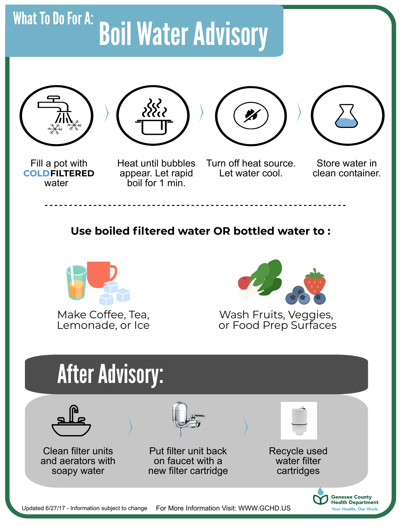## Boil Water Advisory What To Do For A:





appear. Let rapid boil for 1 min.



Turn off heat source. Let water cool.



Store water in clean container.

Your Health. Our Work.

**Use boiled filtered water OR bottled water to :**



Make Coffee, Tea, Lemonade, or Ice



Wash Fruits, Veggies, or Food Prep Surfaces